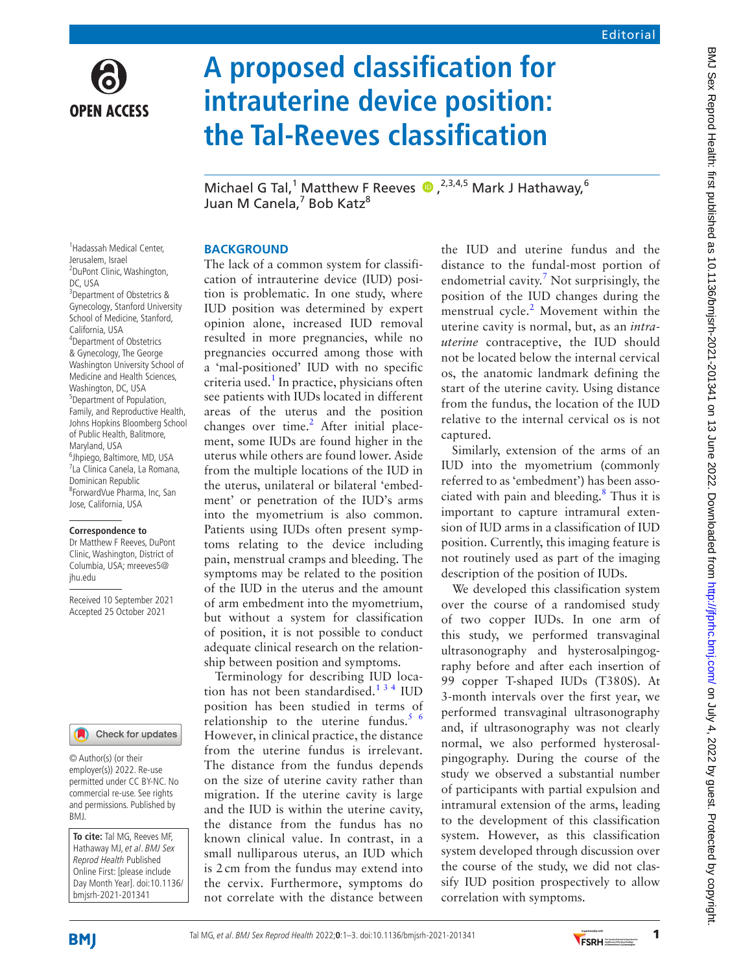

# **A proposed classification for intrauterine device position: the Tal-Reeves classification**

MichaelG Tal,<sup>1</sup> Matthew F Reeves  $\bullet$ , <sup>2,3,4,5</sup> Mark J Hathaway,<sup>6</sup> Juan M Canela,<sup>7</sup> Bob Katz<sup>8</sup>

## **BACKGROUND**

The lack of a common system for classification of intrauterine device (IUD) position is problematic. In one study, where IUD position was determined by expert opinion alone, increased IUD removal resulted in more pregnancies, while no pregnancies occurred among those with a 'mal-positioned' IUD with no specific criteria used.<sup>1</sup> In practice, physicians often see patients with IUDs located in different areas of the uterus and the position changes over time.<sup>2</sup> After initial placement, some IUDs are found higher in the uterus while others are found lower. Aside from the multiple locations of the IUD in the uterus, unilateral or bilateral 'embedment' or penetration of the IUD's arms into the myometrium is also common. Patients using IUDs often present symptoms relating to the device including pain, menstrual cramps and bleeding. The symptoms may be related to the position of the IUD in the uterus and the amount of arm embedment into the myometrium, but without a system for classification of position, it is not possible to conduct adequate clinical research on the relationship between position and symptoms.

Terminology for describing IUD location has not been standardised. $134$  IUD position has been studied in terms of relationship to the uterine fundus. $5/6$ However, in clinical practice, the distance from the uterine fundus is irrelevant. The distance from the fundus depends on the size of uterine cavity rather than migration. If the uterine cavity is large and the IUD is within the uterine cavity, the distance from the fundus has no known clinical value. In contrast, in a small nulliparous uterus, an IUD which is 2 cm from the fundus may extend into the cervix. Furthermore, symptoms do not correlate with the distance between

the IUD and uterine fundus and the distance to the fundal-most portion of endometrial cavity.<sup>[7](#page-2-3)</sup> Not surprisingly, the position of the IUD changes during the menstrual cycle.<sup>[2](#page-2-1)</sup> Movement within the uterine cavity is normal, but, as an *intrauterine* contraceptive, the IUD should not be located below the internal cervical os, the anatomic landmark defining the start of the uterine cavity. Using distance from the fundus, the location of the IUD relative to the internal cervical os is not captured.

Similarly, extension of the arms of an IUD into the myometrium (commonly referred to as 'embedment') has been associated with pain and bleeding.<sup>8</sup> Thus it is important to capture intramural extension of IUD arms in a classification of IUD position. Currently, this imaging feature is not routinely used as part of the imaging description of the position of IUDs.

We developed this classification system over the course of a randomised study of two copper IUDs. In one arm of this study, we performed transvaginal ultrasonography and hysterosalpingography before and after each insertion of 99 copper T-shaped IUDs (T380S). At 3-month intervals over the first year, we performed transvaginal ultrasonography and, if ultrasonography was not clearly normal, we also performed hysterosalpingography. During the course of the study we observed a substantial number of participants with partial expulsion and intramural extension of the arms, leading to the development of this classification system. However, as this classification system developed through discussion over the course of the study, we did not classify IUD position prospectively to allow correlation with symptoms.

1 Hadassah Medical Center, Jerusalem, Israel 2 DuPont Clinic, Washington, DC, USA 3 Department of Obstetrics & Gynecology, Stanford University School of Medicine, Stanford, California, USA 4 Department of Obstetrics & Gynecology, The George Washington University School of Medicine and Health Sciences, Washington, DC, USA <sup>5</sup>Department of Population, Family, and Reproductive Health, Johns Hopkins Bloomberg School of Public Health, Balitmore, Maryland, USA 6 Jhpiego, Baltimore, MD, USA 7 La Clinica Canela, La Romana, Dominican Republic 8 ForwardVue Pharma, Inc, San Jose, California, USA

#### **Correspondence to**

Dr Matthew F Reeves, DuPont Clinic, Washington, District of Columbia, USA; mreeves5@ jhu.edu

Received 10 September 2021 Accepted 25 October 2021



© Author(s) (or their employer(s)) 2022. Re-use permitted under CC BY-NC. No commercial re-use. See rights and permissions. Published by BMJ.

**To cite:** Tal MG, Reeves MF, Hathaway MJ, et al. BMJ Sex Reprod Health Published Online First: [please include Day Month Year]. doi:10.1136/ bmjsrh-2021-201341

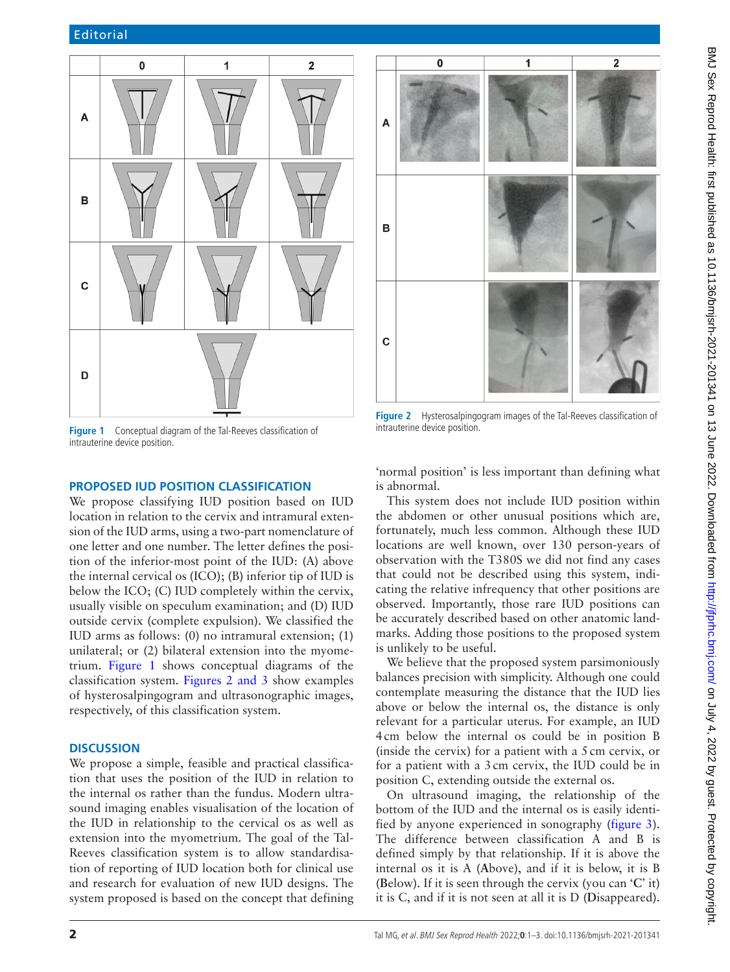

<span id="page-1-0"></span>**Figure 1** Conceptual diagram of the Tal-Reeves classification of intrauterine device position.

### **PROPOSED IUD POSITION CLASSIFICATION**

We propose classifying IUD position based on IUD location in relation to the cervix and intramural extension of the IUD arms, using a two-part nomenclature of one letter and one number. The letter defines the position of the inferior-most point of the IUD: (A) above the internal cervical os (ICO); (B) inferior tip of IUD is below the ICO; (C) IUD completely within the cervix, usually visible on speculum examination; and (D) IUD outside cervix (complete expulsion). We classified the IUD arms as follows: (0) no intramural extension; (1) unilateral; or (2) bilateral extension into the myometrium. [Figure](#page-1-0) 1 shows conceptual diagrams of the classification system. Figures [2 and 3](#page-1-1) show examples of hysterosalpingogram and ultrasonographic images, respectively, of this classification system.

#### **DISCUSSION**

We propose a simple, feasible and practical classification that uses the position of the IUD in relation to the internal os rather than the fundus. Modern ultrasound imaging enables visualisation of the location of the IUD in relationship to the cervical os as well as extension into the myometrium. The goal of the Tal-Reeves classification system is to allow standardisation of reporting of IUD location both for clinical use and research for evaluation of new IUD designs. The system proposed is based on the concept that defining



**Figure 2** Hysterosalpingogram images of the Tal-Reeves classification of intrauterine device position.

<span id="page-1-1"></span>'normal position' is less important than defining what is abnormal.

This system does not include IUD position within the abdomen or other unusual positions which are, fortunately, much less common. Although these IUD locations are well known, over 130 person-years of observation with the T380S we did not find any cases that could not be described using this system, indicating the relative infrequency that other positions are observed. Importantly, those rare IUD positions can be accurately described based on other anatomic landmarks. Adding those positions to the proposed system is unlikely to be useful.

We believe that the proposed system parsimoniously balances precision with simplicity. Although one could contemplate measuring the distance that the IUD lies above or below the internal os, the distance is only relevant for a particular uterus. For example, an IUD 4cm below the internal os could be in position B (inside the cervix) for a patient with a 5cm cervix, or for a patient with a 3cm cervix, the IUD could be in position C, extending outside the external os.

On ultrasound imaging, the relationship of the bottom of the IUD and the internal os is easily identified by anyone experienced in sonography ([figure](#page-2-5) 3). The difference between classification A and B is defined simply by that relationship. If it is above the internal os it is A (**A**bove), and if it is below, it is B (**B**elow). If it is seen through the cervix (you can '**C**' it) it is C, and if it is not seen at all it is D (**D**isappeared).